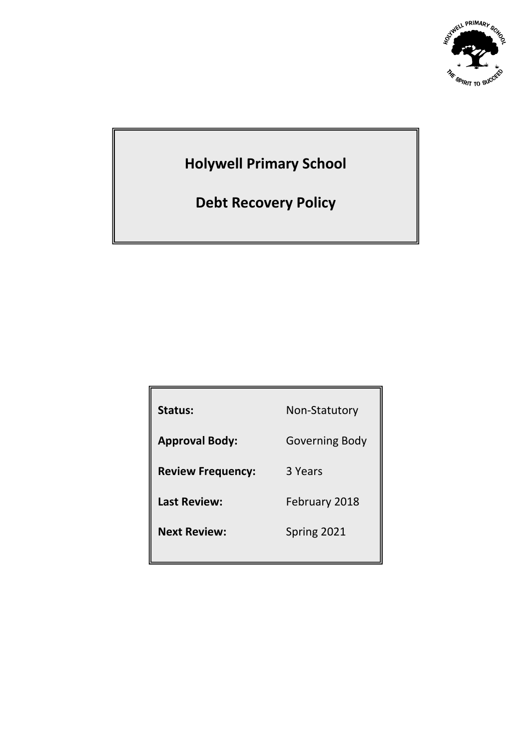

# **Holywell Primary School**

**Debt Recovery Policy**

| Status:                  | Non-Statutory  |
|--------------------------|----------------|
| <b>Approval Body:</b>    | Governing Body |
| <b>Review Frequency:</b> | 3 Years        |
| <b>Last Review:</b>      | February 2018  |
| <b>Next Review:</b>      | Spring 2021    |
|                          |                |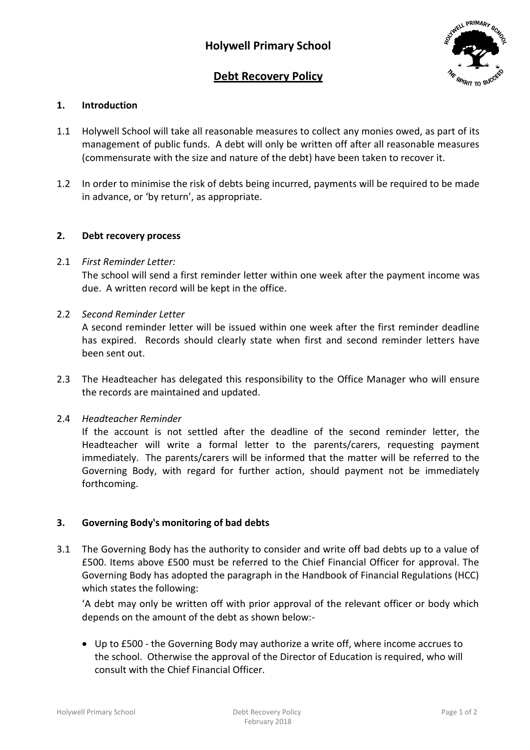# **Debt Recovery Policy**



# **1. Introduction**

- 1.1 Holywell School will take all reasonable measures to collect any monies owed, as part of its management of public funds. A debt will only be written off after all reasonable measures (commensurate with the size and nature of the debt) have been taken to recover it.
- 1.2 In order to minimise the risk of debts being incurred, payments will be required to be made in advance, or 'by return', as appropriate.

#### **2. Debt recovery process**

2.1 *First Reminder Letter:*

The school will send a first reminder letter within one week after the payment income was due. A written record will be kept in the office.

2.2 *Second Reminder Letter*

A second reminder letter will be issued within one week after the first reminder deadline has expired. Records should clearly state when first and second reminder letters have been sent out.

2.3 The Headteacher has delegated this responsibility to the Office Manager who will ensure the records are maintained and updated.

# 2.4 *Headteacher Reminder*

If the account is not settled after the deadline of the second reminder letter, the Headteacher will write a formal letter to the parents/carers, requesting payment immediately. The parents/carers will be informed that the matter will be referred to the Governing Body, with regard for further action, should payment not be immediately forthcoming.

# **3. Governing Body's monitoring of bad debts**

3.1 The Governing Body has the authority to consider and write off bad debts up to a value of £500. Items above £500 must be referred to the Chief Financial Officer for approval. The Governing Body has adopted the paragraph in the Handbook of Financial Regulations (HCC) which states the following:

'A debt may only be written off with prior approval of the relevant officer or body which depends on the amount of the debt as shown below:-

 Up to £500 - the Governing Body may authorize a write off, where income accrues to the school. Otherwise the approval of the Director of Education is required, who will consult with the Chief Financial Officer.